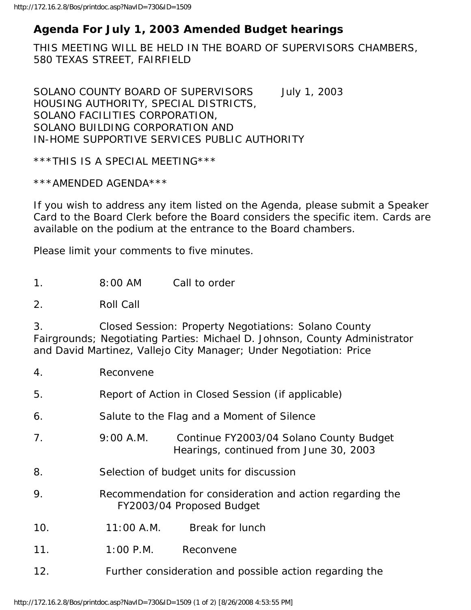## **Agenda For July 1, 2003 Amended Budget hearings**

THIS MEETING WILL BE HELD IN THE BOARD OF SUPERVISORS CHAMBERS, 580 TEXAS STREET, FAIRFIELD

SOLANO COUNTY BOARD OF SUPERVISORS July 1, 2003 HOUSING AUTHORITY, SPECIAL DISTRICTS, SOLANO FACILITIES CORPORATION, SOLANO BUILDING CORPORATION AND IN-HOME SUPPORTIVE SERVICES PUBLIC AUTHORITY

\*\*\*THIS IS A SPECIAL MEETING\*\*\*

\*\*\*AMENDED AGENDA\*\*\*

If you wish to address any item listed on the Agenda, please submit a Speaker Card to the Board Clerk before the Board considers the specific item. Cards are available on the podium at the entrance to the Board chambers.

Please limit your comments to five minutes.

1. 8:00 AM Call to order

2. Roll Call

3. Closed Session: Property Negotiations: Solano County Fairgrounds; Negotiating Parties: Michael D. Johnson, County Administrator and David Martinez, Vallejo City Manager; Under Negotiation: Price

- 4. Reconvene
- 5. Report of Action in Closed Session (if applicable)
- 6. Salute to the Flag and a Moment of Silence
- 7. 9:00 A.M. Continue FY2003/04 Solano County Budget Hearings, continued from June 30, 2003
- 8. Selection of budget units for discussion
- 9. Recommendation for consideration and action regarding the FY2003/04 Proposed Budget
- 10. 11:00 A.M. Break for lunch
- 11. 1:00 P.M. Reconvene
- 12. Further consideration and possible action regarding the